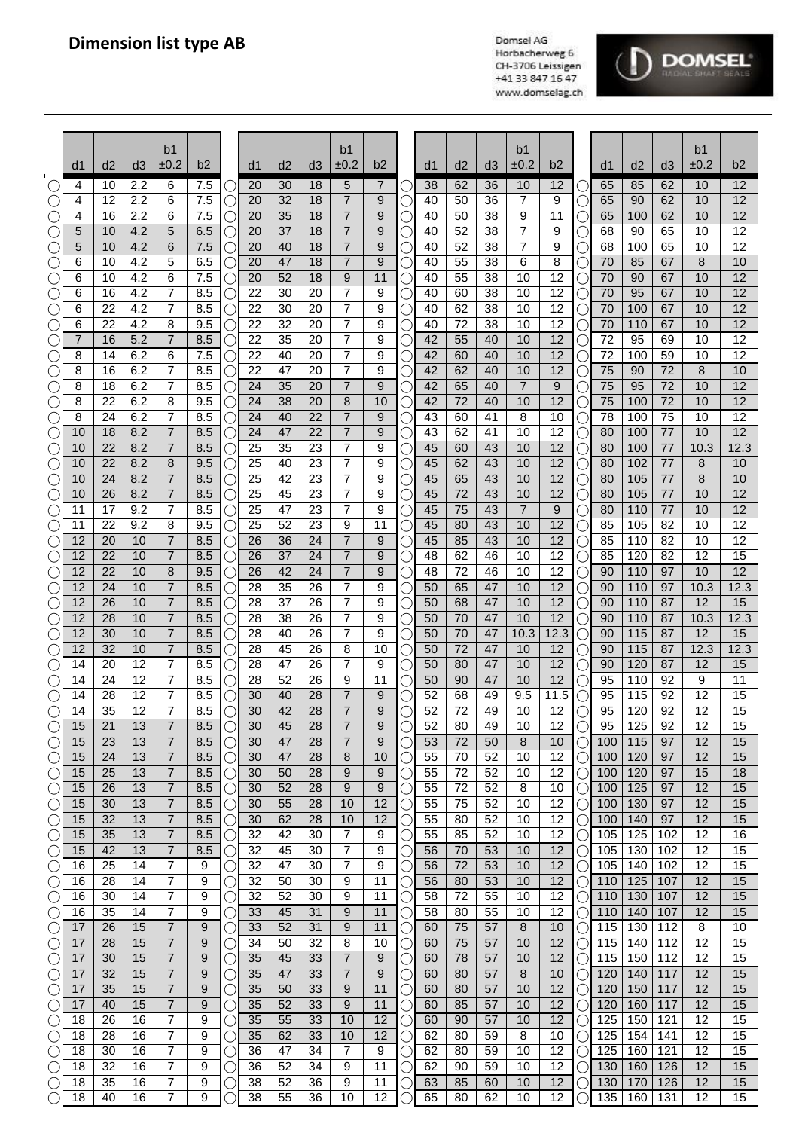

|                                      | d1       | d2       | d3         | b <sub>1</sub><br>±0.2           | b2         |        | d1       | d2       | d3       | b <sub>1</sub><br>±0.2           | b2       |     | d1       | d <sub>2</sub> | d <sub>3</sub> | b1<br>±0.2     | b2         |                      | d1         | d <sub>2</sub> | d3         | b1<br>$\pm 0.2$ | b2              |
|--------------------------------------|----------|----------|------------|----------------------------------|------------|--------|----------|----------|----------|----------------------------------|----------|-----|----------|----------------|----------------|----------------|------------|----------------------|------------|----------------|------------|-----------------|-----------------|
|                                      | 4        | 10       | 2.2        | 6                                | 7.5        | C      | 20       | 30       | 18       | 5                                | 7        |     | 38       | 62             | 36             | 10             | 12         |                      | 65         | 85             | 62         | 10              | 12              |
|                                      | 4        | 12       | 2.2        | 6                                | 7.5        | С      | 20       | 32       | 18       | $\overline{7}$                   | 9        |     | 40       | 50             | 36             | 7              | 9          | C                    | 65         | 90             | 62         | 10              | 12              |
| C                                    | 4        | 16       | 2.2        | 6                                | 7.5        | $\cup$ | 20       | 35       | 18       | 7                                | 9        |     | 40       | 50             | 38             | 9              | 11         | Ċ                    | 65         | 100            | 62         | 10              | 12              |
| ( )                                  | 5        | 10       | 4.2        | 5                                | 6.5        |        | 20       | 37       | 18       | $\overline{7}$                   | 9        |     | 40       | 52             | 38             | 7              | 9          | ι.                   | 68         | 90             | 65         | 10              | $\overline{12}$ |
| $\left(\right)$<br>C                 | 5<br>6   | 10<br>10 | 4.2<br>4.2 | 6<br>5                           | 7.5<br>6.5 | С<br>С | 20<br>20 | 40<br>47 | 18<br>18 | $\overline{7}$<br>$\overline{7}$ | 9<br>9   |     | 40<br>40 | 52<br>55       | 38<br>38       | 7<br>6         | 9<br>8     | С<br>С               | 68<br>70   | 100<br>85      | 65<br>67   | 10<br>8         | 12<br>10        |
| O                                    | 6        | 10       | 4.2        | 6                                | 7.5        | С      | 20       | 52       | 18       | 9                                | 11       |     | 40       | 55             | 38             | 10             | 12         | С                    | 70         | 90             | 67         | 10              | 12              |
| $\bigcirc$                           | 6        | 16       | 4.2        | 7                                | 8.5        | C      | 22       | 30       | 20       | $\overline{7}$                   | 9        |     | 40       | 60             | 38             | 10             | 12         | С                    | 70         | 95             | 67         | 10              | 12              |
| C                                    | 6        | 22       | 4.2        | $\overline{7}$                   | 8.5        | C      | 22       | 30       | 20       | $\overline{7}$                   | 9        |     | 40       | 62             | 38             | 10             | 12         | С                    | 70         | 100            | 67         | 10              | 12              |
| O                                    | 6        | 22       | 4.2        | 8                                | 9.5        |        | 22       | 32       | 20       | 7                                | 9        |     | 40       | 72             | 38             | 10             | 12         | С.                   | 70         | 110            | 67         | 10              | 12              |
| C .<br>C                             | 7<br>8   | 16<br>14 | 5.2<br>6.2 | 7<br>6                           | 8.5<br>7.5 |        | 22<br>22 | 35<br>40 | 20<br>20 | 7<br>7                           | 9<br>9   |     | 42<br>42 | 55<br>60       | 40<br>40       | 10<br>10       | 12<br>12   | С.<br>С              | 72<br>72   | 95<br>100      | 69<br>59   | 10<br>10        | 12<br>12        |
| C                                    | 8        | 16       | 6.2        | 7                                | 8.5        |        | 22       | 47       | 20       | 7                                | 9        |     | 42       | 62             | 40             | 10             | 12         | С                    | 75         | 90             | 72         | 8               | 10              |
| C                                    | 8        | 18       | 6.2        | 7                                | 8.5        |        | 24       | 35       | 20       | $\overline{7}$                   | 9        |     | 42       | 65             | 40             | $\overline{7}$ | 9          |                      | 75         | 95             | 72         | 10              | 12              |
| C                                    | 8        | 22       | 6.2        | 8                                | 9.5        | С      | 24       | 38       | 20       | 8                                | 10       |     | 42       | 72             | 40             | 10             | 12         | U                    | 75         | 100            | 72         | 10              | 12              |
| C                                    | 8        | 24       | 6.2        | 7<br>$\overline{7}$              | 8.5        | $\cup$ | 24<br>24 | 40<br>47 | 22<br>22 | $\overline{7}$<br>$\overline{7}$ | 9        |     | 43       | 60             | 41             | 8              | 10<br>12   | U                    | 78         | 100            | 75         | 10<br>10        | 12<br>12        |
| C<br>C                               | 10<br>10 | 18<br>22 | 8.2<br>8.2 | $\overline{7}$                   | 8.5<br>8.5 | C<br>С | 25       | 35       | 23       | $\overline{7}$                   | 9<br>9   |     | 43<br>45 | 62<br>60       | 41<br>43       | 10<br>10       | 12         | C<br>С               | 80<br>80   | 100<br>100     | 77<br>77   | 10.3            | 12.3            |
| C                                    | 10       | 22       | 8.2        | 8                                | 9.5        | С      | 25       | 40       | 23       | 7                                | 9        |     | 45       | 62             | 43             | 10             | 12         | $\bigcirc$           | 80         | 102            | 77         | 8               | 10              |
| C                                    | 10       | 24       | 8.2        | $\overline{7}$                   | 8.5        | С      | 25       | 42       | 23       | 7                                | 9        |     | 45       | 65             | 43             | 10             | 12         | С                    | 80         | 105            | 77         | 8               | 10              |
| C                                    | 10       | 26       | 8.2        | $\overline{7}$                   | 8.5        | C      | 25       | 45       | 23       | $\overline{7}$                   | 9        |     | 45       | 72             | 43             | 10             | 12         | С                    | 80         | 105            | 77         | 10              | 12              |
| C                                    | 11<br>11 | 17<br>22 | 9.2<br>9.2 | 7<br>8                           | 8.5<br>9.5 |        | 25<br>25 | 47<br>52 | 23<br>23 | $\overline{7}$<br>9              | 9<br>11  |     | 45<br>45 | 75<br>80       | 43<br>43       | 7<br>10        | 9<br>12    | C                    | 80<br>85   | 110<br>105     | 77<br>82   | 10<br>10        | 12<br>12        |
| C .                                  | 12       | 20       | 10         | 7                                | 8.5        |        | 26       | 36       | 24       | $\overline{7}$                   | 9        |     | 45       | 85             | 43             | 10             | 12         | С<br>С               | 85         | 110            | 82         | 10              | 12              |
| C                                    | 12       | 22       | 10         | 7                                | 8.5        |        | 26       | 37       | 24       | 7                                | 9        |     | 48       | 62             | 46             | 10             | 12         | С                    | 85         | 120            | 82         | 12              | 15              |
| $\bigcirc$                           | 12       | 22       | 10         | 8                                | 9.5        |        | 26       | 42       | 24       | $\overline{7}$                   | 9        |     | 48       | 72             | 46             | 10             | 12         | C                    | 90         | 110            | 97         | 10              | 12              |
| C                                    | 12       | 24       | 10         | $\overline{7}$                   | 8.5        | С      | 28       | 35       | 26       | $\overline{7}$                   | 9        |     | 50       | 65             | 47             | 10             | 12         | Ċ                    | 90         | 110            | 97         | 10.3            | 12.3            |
| C                                    | 12<br>12 | 26<br>28 | 10<br>10   | $\overline{7}$<br>$\overline{7}$ | 8.5<br>8.5 | C      | 28<br>28 | 37<br>38 | 26<br>26 | 7<br>7                           | 9<br>9   |     | 50<br>50 | 68<br>70       | 47<br>47       | 10<br>10       | 12<br>12   | Ċ                    | 90<br>90   | 110<br>110     | 87<br>87   | 12<br>10.3      | 15<br>12.3      |
| $(\cdot)$<br>$(\cdot)$               | 12       | 30       | 10         | $\overline{7}$                   | 8.5        | C<br>С | 28       | 40       | 26       | 7                                | 9        |     | 50       | 70             | 47             | 10.3           | 12.3       | С<br>С               | 90         | 115            | 87         | 12              | 15              |
| $\bigcirc$                           | 12       | 32       | 10         | $\overline{7}$                   | 8.5        | С      | 28       | 45       | 26       | 8                                | 10       |     | 50       | 72             | 47             | 10             | 12         | С                    | 90         | 115            | 87         | 12.3            | 12.3            |
| $\bigcirc$                           | 14       | 20       | 12         | 7                                | 8.5        | С      | 28       | 47       | 26       | 7                                | 9        |     | 50       | 80             | 47             | 10             | 12         | О                    | 90         | 120            | 87         | 12              | 15              |
| O                                    | 14       | 24       | 12         | 7                                | 8.5        |        | 28       | 52       | 26       | 9                                | 11       |     | 50       | 90             | 47             | 10             | 12         | С                    | 95         | 110            | 92         | 9               | 11              |
| C                                    | 14<br>14 | 28<br>35 | 12<br>12   | 7<br>$\overline{7}$              | 8.5<br>8.5 |        | 30<br>30 | 40<br>42 | 28<br>28 | $\overline{7}$<br>$\overline{7}$ | 9<br>9   |     | 52<br>52 | 68<br>72       | 49<br>49       | 9.5<br>10      | 11.5<br>12 | С                    | 95<br>95   | 115<br>120     | 92<br>92   | 12<br>12        | 15<br>15        |
| C<br>$\left(\begin{array}{c}\right)$ | 15       | 21       | 13         | $\overline{7}$                   | 8.5        | C      | 30       | 45       | 28       | 7                                | q        |     | 52       | 80             | 49             | 10             | 12         | $\cup$               | 95         | 125            | 92         | 12              | 15              |
| $(\cdot)$                            | 15       | 23       | 13         | 7                                | 8.5        | С      | 30       | 47       | 28       | 7                                | 9        |     | 53       | 72             | 50             | 8              | 10         | С                    | 100        | 115            | 97         | 12              | 15              |
| ()                                   | 15       | 24       | 13         | 7                                | 8.5        | C      | 30       | 47       | 28       | 8                                | 10       |     | 55       | 70             | 52             | 10             | 12         | O                    | 100        | 120            | 97         | 12              | 15              |
| C                                    | 15       | 25       | 13         | 7                                | 8.5        | C      | 30       | 50       | 28       | 9                                | 9        |     | 55       | 72             | 52             | 10             | 12         |                      | 100        | 120            | 97         | 15              | 18              |
| C<br>$\bigcirc$                      | 15<br>15 | 26<br>30 | 13<br>13   | 7<br>7                           | 8.5<br>8.5 | C<br>С | 30<br>30 | 52<br>55 | 28<br>28 | 9<br>10                          | 9<br>12  |     | 55<br>55 | 72<br>75       | 52<br>52       | 8<br>10        | 10<br>12   | U                    | 100<br>100 | 125<br>130     | 97<br>97   | 12<br>12        | 15<br>15        |
| C                                    | 15       | 32       | 13         | $\overline{7}$                   | 8.5        | С      | 30       | 62       | 28       | 10                               | 12       |     | 55       | 80             | 52             | 10             | 12         | O<br>O               | 100        | 140            | 97         | 12              | 15              |
| O                                    | 15       | 35       | 13         | 7                                | 8.5        | С      | 32       | 42       | 30       | 7                                | 9        | ( . | 55       | 85             | 52             | 10             | 12         | О                    | 105        | 125            | 102        | 12              | 16              |
| $\bigcirc$                           | 15       | 42       | 13         | 7                                | 8.5        | О      | 32       | 45       | 30       | 7                                | 9        | Ο.  | 56       | 70             | 53             | 10             | 12         | О                    | 105        | 130            | 102        | 12              | 15              |
| O                                    | 16<br>16 | 25<br>28 | 14<br>14   | 7<br>$\overline{7}$              | 9<br>9     | С      | 32<br>32 | 47<br>50 | 30<br>30 | 7<br>9                           | 9<br>11  |     | 56<br>56 | 72<br>80       | 53<br>53       | 10             | 12<br>12   | О                    | 105        | 140<br>125     | 102<br>107 | 12<br>12        | 15<br>15        |
| $\bigcirc$<br>$\bigcirc$             | 16       | 30       | 14         | 7                                | 9          |        | 32       | 52       | 30       | 9                                | 11       |     | 58       | 72             | 55             | 10<br>10       | 12         | О<br>О               | 110<br>110 | 130            | 107        | 12              | 15              |
| $\left(\right)$                      | 16       | 35       | 14         | 7                                | 9          |        | 33       | 45       | 31       | 9                                | 11       |     | 58       | 80             | 55             | 10             | 12         | ()                   | 110        | 140            | 107        | 12              | 15              |
| $\left(\right)$                      | 17       | 26       | 15         | 7                                | 9          | ○      | 33       | 52       | 31       | 9                                | 11       |     | 60       | 75             | 57             | 8              | 10         | ()                   | 115        | 130            | 112        | 8               | 10              |
| C                                    | 17       | 28       | 15         | 7                                | 9          |        | 34       | 50       | 32       | 8                                | 10       |     | 60       | 75             | 57             | 10             | 12         | ()                   | 115        | 140            | 112        | 12              | 15              |
| O                                    | 17<br>17 | 30<br>32 | 15<br>15   | 7                                | 9          |        | 35<br>35 | 45       | 33<br>33 | $\overline{7}$                   | 9        |     | 60       | 78<br>80       | 57<br>57       | 10             | 12<br>10   |                      | 115        | 150            | 112<br>117 | 12<br>12        | 15              |
| $\bigcirc$<br>$\bigcirc$             | 17       | 35       | 15         | 7<br>$\overline{7}$              | 9<br>9     | C<br>С | 35       | 47<br>50 | 33       | 7<br>9                           | 9<br>11  | C   | 60<br>60 | 80             | 57             | 8<br>10        | 12         | $\left(\right)$<br>О | 120<br>120 | 140<br>150     | 117        | 12              | 15<br>15        |
| $\bigcirc$                           | 17       | 40       | 15         | $\overline{7}$                   | 9          | C      | 35       | 52       | 33       | 9                                | 11       |     | 60       | 85             | 57             | 10             | 12         | O                    | 120        | 160            | 117        | 12              | 15              |
| O                                    | 18       | 26       | 16         | 7                                | 9          | C      | 35       | 55       | 33       | 10                               | 12       | U   | 60       | 90             | 57             | 10             | 12         | О                    | 125        | 150            | 121        | 12              | 15              |
| $\bigcirc$                           | 18       | 28       | 16         | 7                                | 9          | C      | 35       | 62       | 33       | 10                               | 12       | ι.  | 62       | 80             | 59             | 8              | 10         | О                    | 125        | 154            | 141        | 12              | 15              |
| O                                    | 18       | 30       | 16         | 7<br>$\overline{7}$              | 9          | С      | 36       | 47       | 34       | 7                                | 9        |     | 62       | 80             | 59             | 10             | 12         | О                    | 125        | 160            | 121        | 12              | 15              |
| $\bigcirc$<br>$\bigcirc$             | 18<br>18 | 32<br>35 | 16<br>16   | 7                                | 9<br>9     | С      | 36<br>38 | 52<br>52 | 34<br>36 | 9<br>9                           | 11<br>11 |     | 62<br>63 | 90<br>85       | 59<br>60       | 10<br>10       | 12<br>12   |                      | 130<br>130 | 160<br>170     | 126<br>126 | 12<br>12        | 15<br>15        |
| $\bigcirc$                           | 18       | 40       | 16         | 7                                | 9          |        | 38       | 55       | 36       | 10                               | 12       |     | 65       | 80             | 62             | 10             | 12         |                      | 135        | 160            | 131        | 12              | 15              |